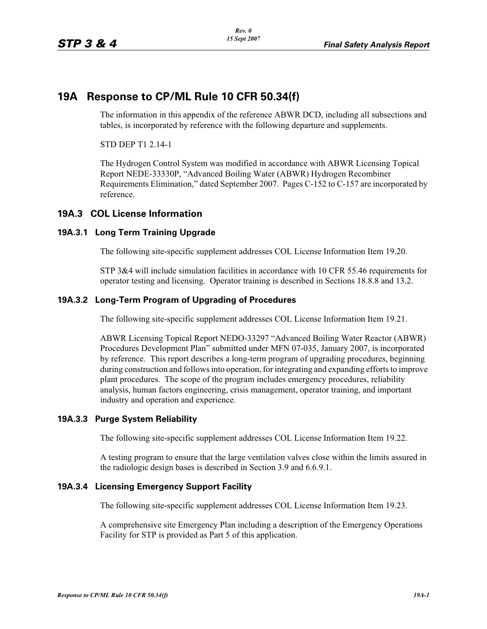# **19A Response to CP/ML Rule 10 CFR 50.34(f)**

The information in this appendix of the reference ABWR DCD, including all subsections and tables, is incorporated by reference with the following departure and supplements.

STD DEP T1 2.14-1

The Hydrogen Control System was modified in accordance with ABWR Licensing Topical Report NEDE-33330P, "Advanced Boiling Water (ABWR) Hydrogen Recombiner Requirements Elimination," dated September 2007. Pages C-152 to C-157 are incorporated by reference.

## **19A.3 COL License Information**

#### **19A.3.1 Long Term Training Upgrade**

The following site-specific supplement addresses COL License Information Item 19.20.

STP 3&4 will include simulation facilities in accordance with 10 CFR 55.46 requirements for operator testing and licensing. Operator training is described in Sections 18.8.8 and 13.2.

#### **19A.3.2 Long-Term Program of Upgrading of Procedures**

The following site-specific supplement addresses COL License Information Item 19.21.

ABWR Licensing Topical Report NEDO-33297 "Advanced Boiling Water Reactor (ABWR) Procedures Development Plan" submitted under MFN 07-035, January 2007, is incorporated by reference. This report describes a long-term program of upgrading procedures, beginning during construction and follows into operation, for integrating and expanding efforts to improve plant procedures. The scope of the program includes emergency procedures, reliability analysis, human factors engineering, crisis management, operator training, and important industry and operation and experience.

#### **19A.3.3 Purge System Reliability**

The following site-specific supplement addresses COL License Information Item 19.22.

A testing program to ensure that the large ventilation valves close within the limits assured in the radiologic design bases is described in Section 3.9 and 6.6.9.1.

#### **19A.3.4 Licensing Emergency Support Facility**

The following site-specific supplement addresses COL License Information Item 19.23.

A comprehensive site Emergency Plan including a description of the Emergency Operations Facility for STP is provided as Part 5 of this application.